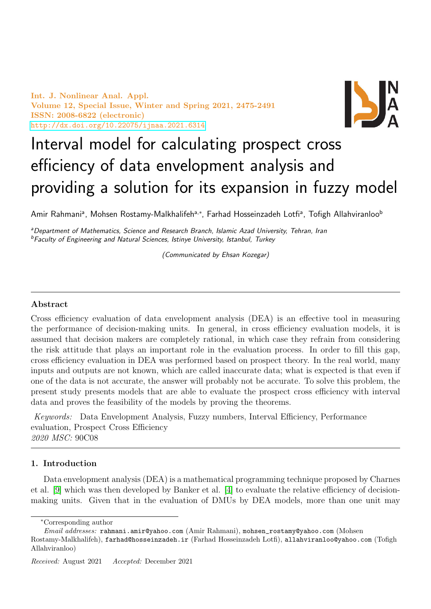Int. J. Nonlinear Anal. Appl. Volume 12, Special Issue, Winter and Spring 2021, 2475-2491 ISSN: 2008-6822 (electronic) <http://dx.doi.org/10.22075/ijnaa.2021.6314>



# Interval model for calculating prospect cross efficiency of data envelopment analysis and providing a solution for its expansion in fuzzy model

Amir Rahmaniª, Mohsen Rostamy-Malkhalifehª<sub>'</sub>\*, Farhad Hosseinzadeh Lotfiª, Tofigh Allahviranloo<sup>b</sup>

aDepartment of Mathematics, Science and Research Branch, Islamic Azad University, Tehran, Iran <sup>b</sup>Faculty of Engineering and Natural Sciences, Istinye University, Istanbul, Turkey

(Communicated by Ehsan Kozegar)

## Abstract

Cross efficiency evaluation of data envelopment analysis (DEA) is an effective tool in measuring the performance of decision-making units. In general, in cross efficiency evaluation models, it is assumed that decision makers are completely rational, in which case they refrain from considering the risk attitude that plays an important role in the evaluation process. In order to fill this gap, cross efficiency evaluation in DEA was performed based on prospect theory. In the real world, many inputs and outputs are not known, which are called inaccurate data; what is expected is that even if one of the data is not accurate, the answer will probably not be accurate. To solve this problem, the present study presents models that are able to evaluate the prospect cross efficiency with interval data and proves the feasibility of the models by proving the theorems.

Keywords: Data Envelopment Analysis, Fuzzy numbers, Interval Efficiency, Performance evaluation, Prospect Cross Efficiency 2020 MSC: 90C08

# 1. Introduction

Data envelopment analysis (DEA) is a mathematical programming technique proposed by Charnes et al. [\[9\]](#page-15-0) which was then developed by Banker et al. [\[4\]](#page-15-1) to evaluate the relative efficiency of decisionmaking units. Given that in the evaluation of DMUs by DEA models, more than one unit may

<sup>∗</sup>Corresponding author

Email addresses: rahmani.amir@yahoo.com (Amir Rahmani), mohsen\_rostamy@yahoo.com (Mohsen Rostamy-Malkhalifeh), farhad@hosseinzadeh.ir (Farhad Hosseinzadeh Lotfi), allahviranloo@yahoo.com (Tofigh Allahviranloo)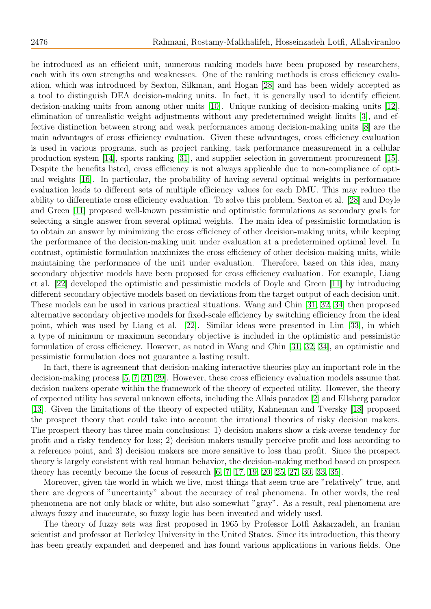be introduced as an efficient unit, numerous ranking models have been proposed by researchers, each with its own strengths and weaknesses. One of the ranking methods is cross efficiency evaluation, which was introduced by Sexton, Silkman, and Hogan [\[28\]](#page-15-2) and has been widely accepted as a tool to distinguish DEA decision-making units. In fact, it is generally used to identify efficient decision-making units from among other units [\[10\]](#page-15-3). Unique ranking of decision-making units [\[12\]](#page-15-4), elimination of unrealistic weight adjustments without any predetermined weight limits [\[3\]](#page-15-5), and effective distinction between strong and weak performances among decision-making units [\[8\]](#page-15-6) are the main advantages of cross efficiency evaluation. Given these advantages, cross efficiency evaluation is used in various programs, such as project ranking, task performance measurement in a cellular production system [\[14\]](#page-15-7), sports ranking [\[31\]](#page-16-0), and supplier selection in government procurement [\[15\]](#page-15-8). Despite the benefits listed, cross efficiency is not always applicable due to non-compliance of optimal weights [\[16\]](#page-15-9). In particular, the probability of having several optimal weights in performance evaluation leads to different sets of multiple efficiency values for each DMU. This may reduce the ability to differentiate cross efficiency evaluation. To solve this problem, Sexton et al. [\[28\]](#page-15-2) and Doyle and Green [\[11\]](#page-15-10) proposed well-known pessimistic and optimistic formulations as secondary goals for selecting a single answer from several optimal weights. The main idea of pessimistic formulation is to obtain an answer by minimizing the cross efficiency of other decision-making units, while keeping the performance of the decision-making unit under evaluation at a predetermined optimal level. In contrast, optimistic formulation maximizes the cross efficiency of other decision-making units, while maintaining the performance of the unit under evaluation. Therefore, based on this idea, many secondary objective models have been proposed for cross efficiency evaluation. For example, Liang et al. [\[22\]](#page-15-11) developed the optimistic and pessimistic models of Doyle and Green [\[11\]](#page-15-10) by introducing different secondary objective models based on deviations from the target output of each decision unit. These models can be used in various practical situations. Wang and Chin [\[31,](#page-16-0) [32,](#page-16-1) [34\]](#page-16-2) then proposed alternative secondary objective models for fixed-scale efficiency by switching efficiency from the ideal point, which was used by Liang et al. [\[22\]](#page-15-11). Similar ideas were presented in Lim [\[33\]](#page-16-3), in which a type of minimum or maximum secondary objective is included in the optimistic and pessimistic formulation of cross efficiency. However, as noted in Wang and Chin [\[31,](#page-16-0) [32,](#page-16-1) [34\]](#page-16-2), an optimistic and pessimistic formulation does not guarantee a lasting result.

In fact, there is agreement that decision-making interactive theories play an important role in the decision-making process [\[5,](#page-15-12) [7,](#page-15-13) [21,](#page-15-14) [29\]](#page-15-15). However, these cross efficiency evaluation models assume that decision makers operate within the framework of the theory of expected utility. However, the theory of expected utility has several unknown effects, including the Allais paradox [\[2\]](#page-15-16) and Ellsberg paradox [\[13\]](#page-15-17). Given the limitations of the theory of expected utility, Kahneman and Tversky [\[18\]](#page-15-18) proposed the prospect theory that could take into account the irrational theories of risky decision makers. The prospect theory has three main conclusions: 1) decision makers show a risk-averse tendency for profit and a risky tendency for loss; 2) decision makers usually perceive profit and loss according to a reference point, and 3) decision makers are more sensitive to loss than profit. Since the prospect theory is largely consistent with real human behavior, the decision-making method based on prospect theory has recently become the focus of research  $[6, 7, 17, 19, 20, 25, 27, 30, 33, 35]$  $[6, 7, 17, 19, 20, 25, 27, 30, 33, 35]$  $[6, 7, 17, 19, 20, 25, 27, 30, 33, 35]$  $[6, 7, 17, 19, 20, 25, 27, 30, 33, 35]$  $[6, 7, 17, 19, 20, 25, 27, 30, 33, 35]$  $[6, 7, 17, 19, 20, 25, 27, 30, 33, 35]$  $[6, 7, 17, 19, 20, 25, 27, 30, 33, 35]$  $[6, 7, 17, 19, 20, 25, 27, 30, 33, 35]$  $[6, 7, 17, 19, 20, 25, 27, 30, 33, 35]$  $[6, 7, 17, 19, 20, 25, 27, 30, 33, 35]$ .

Moreover, given the world in which we live, most things that seem true are "relatively" true, and there are degrees of "uncertainty" about the accuracy of real phenomena. In other words, the real phenomena are not only black or white, but also somewhat "gray". As a result, real phenomena are always fuzzy and inaccurate, so fuzzy logic has been invented and widely used.

The theory of fuzzy sets was first proposed in 1965 by Professor Lotfi Askarzadeh, an Iranian scientist and professor at Berkeley University in the United States. Since its introduction, this theory has been greatly expanded and deepened and has found various applications in various fields. One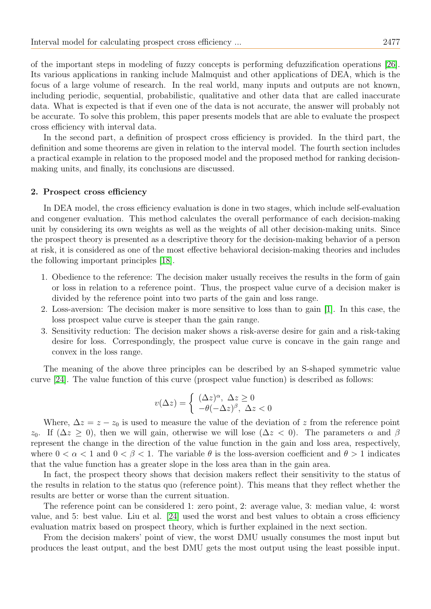of the important steps in modeling of fuzzy concepts is performing defuzzification operations [\[26\]](#page-15-25). Its various applications in ranking include Malmquist and other applications of DEA, which is the focus of a large volume of research. In the real world, many inputs and outputs are not known, including periodic, sequential, probabilistic, qualitative and other data that are called inaccurate data. What is expected is that if even one of the data is not accurate, the answer will probably not be accurate. To solve this problem, this paper presents models that are able to evaluate the prospect cross efficiency with interval data.

In the second part, a definition of prospect cross efficiency is provided. In the third part, the definition and some theorems are given in relation to the interval model. The fourth section includes a practical example in relation to the proposed model and the proposed method for ranking decisionmaking units, and finally, its conclusions are discussed.

#### 2. Prospect cross efficiency

In DEA model, the cross efficiency evaluation is done in two stages, which include self-evaluation and congener evaluation. This method calculates the overall performance of each decision-making unit by considering its own weights as well as the weights of all other decision-making units. Since the prospect theory is presented as a descriptive theory for the decision-making behavior of a person at risk, it is considered as one of the most effective behavioral decision-making theories and includes the following important principles [\[18\]](#page-15-18).

- 1. Obedience to the reference: The decision maker usually receives the results in the form of gain or loss in relation to a reference point. Thus, the prospect value curve of a decision maker is divided by the reference point into two parts of the gain and loss range.
- 2. Loss-aversion: The decision maker is more sensitive to loss than to gain [\[1\]](#page-14-0). In this case, the loss prospect value curve is steeper than the gain range.
- 3. Sensitivity reduction: The decision maker shows a risk-averse desire for gain and a risk-taking desire for loss. Correspondingly, the prospect value curve is concave in the gain range and convex in the loss range.

The meaning of the above three principles can be described by an S-shaped symmetric value curve [\[24\]](#page-15-26). The value function of this curve (prospect value function) is described as follows:

$$
v(\Delta z) = \begin{cases} (\Delta z)^{\alpha}, \ \Delta z \ge 0\\ -\theta(-\Delta z)^{\beta}, \ \Delta z < 0 \end{cases}
$$

Where,  $\Delta z = z - z_0$  is used to measure the value of the deviation of z from the reference point z<sub>0</sub>. If  $(\Delta z \geq 0)$ , then we will gain, otherwise we will lose  $(\Delta z < 0)$ . The parameters  $\alpha$  and  $\beta$ represent the change in the direction of the value function in the gain and loss area, respectively, where  $0 < \alpha < 1$  and  $0 < \beta < 1$ . The variable  $\theta$  is the loss-aversion coefficient and  $\theta > 1$  indicates that the value function has a greater slope in the loss area than in the gain area.

In fact, the prospect theory shows that decision makers reflect their sensitivity to the status of the results in relation to the status quo (reference point). This means that they reflect whether the results are better or worse than the current situation.

The reference point can be considered 1: zero point, 2: average value, 3: median value, 4: worst value, and 5: best value. Liu et al. [\[24\]](#page-15-26) used the worst and best values to obtain a cross efficiency evaluation matrix based on prospect theory, which is further explained in the next section.

From the decision makers' point of view, the worst DMU usually consumes the most input but produces the least output, and the best DMU gets the most output using the least possible input.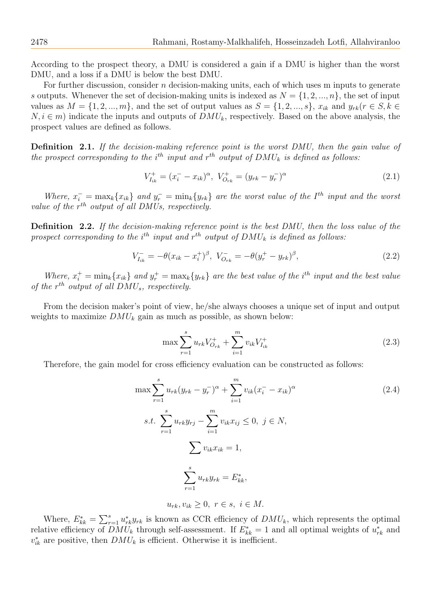According to the prospect theory, a DMU is considered a gain if a DMU is higher than the worst DMU, and a loss if a DMU is below the best DMU.

For further discussion, consider  $n$  decision-making units, each of which uses m inputs to generate s outputs. Whenever the set of decision-making units is indexed as  $N = \{1, 2, ..., n\}$ , the set of input values as  $M = \{1, 2, ..., m\}$ , and the set of output values as  $S = \{1, 2, ..., s\}$ ,  $x_{ik}$  and  $y_{rk}(r \in S, k \in \mathbb{Z})$  $N, i \in m$ ) indicate the inputs and outputs of  $DMU_k$ , respectively. Based on the above analysis, the prospect values are defined as follows.

Definition 2.1. If the decision-making reference point is the worst DMU, then the gain value of the prospect corresponding to the i<sup>th</sup> input and  $r^{th}$  output of  $DMU_k$  is defined as follows:

$$
V_{I_{ik}}^{+} = (x_i^{-} - x_{ik})^{\alpha}, \ V_{O_{rk}}^{+} = (y_{rk} - y_r^{-})^{\alpha}
$$
\n(2.1)

Where,  $x_i^- = \max_k \{x_{ik}\}\$ and  $y_r^- = \min_k \{y_{rk}\}\$ are the worst value of the I<sup>th</sup> input and the worst value of the  $r^{th}$  output of all DMUs, respectively.

Definition 2.2. If the decision-making reference point is the best DMU, then the loss value of the prospect corresponding to the i<sup>th</sup> input and  $r^{th}$  output of  $DMU_k$  is defined as follows:

$$
V_{I_{ik}}^{-} = -\theta (x_{ik} - x_{i}^{+})^{\beta}, \ V_{O_{rk}}^{-} = -\theta (y_{r}^{+} - y_{rk})^{\beta}, \qquad (2.2)
$$

Where,  $x_i^+ = \min_k \{x_{ik}\}\$ and  $y_r^+ = \max_k \{y_{rk}\}\$ are the best value of the i<sup>th</sup> input and the best value of the  $r^{th}$  output of all  $DMU_s$ , respectively.

From the decision maker's point of view, he/she always chooses a unique set of input and output weights to maximize  $DMU_k$  gain as much as possible, as shown below:

$$
\max \sum_{r=1}^{s} u_{rk} V_{O_{rk}}^{+} + \sum_{i=1}^{m} v_{ik} V_{I_{ik}}^{+}
$$
\n(2.3)

Therefore, the gain model for cross efficiency evaluation can be constructed as follows:

<span id="page-3-0"></span>
$$
\max \sum_{r=1}^{s} u_{rk} (y_{rk} - y_r^{-})^{\alpha} + \sum_{i=1}^{m} v_{ik} (x_i^{-} - x_{ik})^{\alpha}
$$
\n
$$
s.t. \sum_{r=1}^{s} u_{rk} y_{rj} - \sum_{i=1}^{m} v_{ik} x_{ij} \le 0, \ j \in N,
$$
\n
$$
\sum v_{ik} x_{ik} = 1,
$$
\n
$$
\sum_{r=1}^{s} u_{rk} y_{rk} = E_{kk}^{*},
$$
\n
$$
u_{rk}, v_{ik} \ge 0, \ r \in s, \ i \in M.
$$
\n(2.4)

Where,  $E_{kk}^* = \sum_{r=1}^s u_{rk}^* y_{rk}$  is known as CCR efficiency of  $DMU_k$ , which represents the optimal relative efficiency of  $DMU_k$  through self-assessment. If  $E_{kk}^* = 1$  and all optimal weights of  $u_{rk}^*$  and  $v_{ik}^*$  are positive, then  $DMU_k$  is efficient. Otherwise it is inefficient.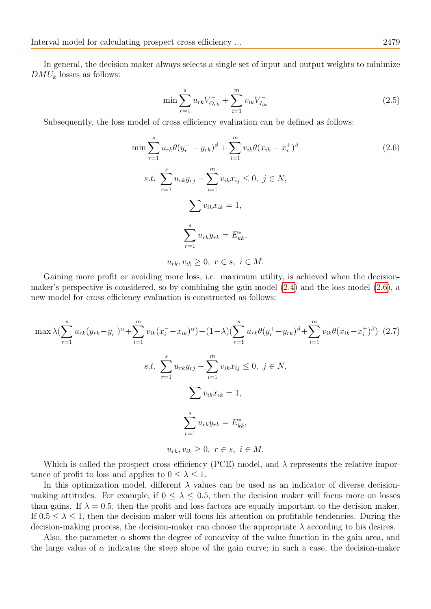In general, the decision maker always selects a single set of input and output weights to minimize  $DMU_k$  losses as follows:

$$
\min \sum_{r=1}^{s} u_{rk} V_{O_{rk}}^- + \sum_{i=1}^{m} v_{ik} V_{I_{ik}}^- \tag{2.5}
$$

Subsequently, the loss model of cross efficiency evaluation can be defined as follows:

<span id="page-4-0"></span>
$$
\min \sum_{r=1}^{s} u_{rk} \theta (y_r^+ - y_{rk})^{\beta} + \sum_{i=1}^{m} v_{ik} \theta (x_{ik} - x_i^+)^{\beta}
$$
\n
$$
s.t. \sum_{r=1}^{s} u_{rk} y_{rj} - \sum_{i=1}^{m} v_{ik} x_{ij} \le 0, \ j \in N,
$$
\n
$$
\sum v_{ik} x_{ik} = 1,
$$
\n
$$
\sum_{r=1}^{s} u_{rk} y_{rk} = E_{kk}^*,
$$
\n
$$
u_{rk}, v_{ik} \ge 0, \ r \in s, \ i \in M.
$$
\n(2.6)

Gaining more profit or avoiding more loss, i.e. maximum utility, is achieved when the decisionmaker's perspective is considered, so by combining the gain model [\(2.4\)](#page-3-0) and the loss model [\(2.6\)](#page-4-0), a new model for cross efficiency evaluation is constructed as follows:

$$
\max \lambda (\sum_{r=1}^{s} u_{rk} (y_{rk} - y_r^{-})^{\alpha} + \sum_{i=1}^{m} v_{ik} (x_i^{-} - x_{ik})^{\alpha}) - (1 - \lambda) (\sum_{r=1}^{s} u_{rk} \theta (y_r^{+} - y_{rk})^{\beta} + \sum_{i=1}^{m} v_{ik} \theta (x_{ik} - x_i^{+})^{\beta})
$$
(2.7)  
s.t. 
$$
\sum_{r=1}^{s} u_{rk} y_{rj} - \sum_{i=1}^{m} v_{ik} x_{ij} \leq 0, \ j \in N,
$$

$$
\sum v_{ik} x_{ik} = 1,
$$

$$
\sum_{r=1}^{s} u_{rk} y_{rk} = E_{kk}^{*},
$$

$$
u_{rk}, v_{ik} \geq 0, \ r \in s, \ i \in M.
$$

Which is called the prospect cross efficiency (PCE) model, and  $\lambda$  represents the relative importance of profit to loss and applies to  $0 \leq \lambda \leq 1$ .

In this optimization model, different  $\lambda$  values can be used as an indicator of diverse decisionmaking attitudes. For example, if  $0 \leq \lambda \leq 0.5$ , then the decision maker will focus more on losses than gains. If  $\lambda = 0.5$ , then the profit and loss factors are equally important to the decision maker. If  $0.5 \leq \lambda \leq 1$ , then the decision maker will focus his attention on profitable tendencies. During the decision-making process, the decision-maker can choose the appropriate  $\lambda$  according to his desires.

Also, the parameter  $\alpha$  shows the degree of concavity of the value function in the gain area, and the large value of  $\alpha$  indicates the steep slope of the gain curve; in such a case, the decision-maker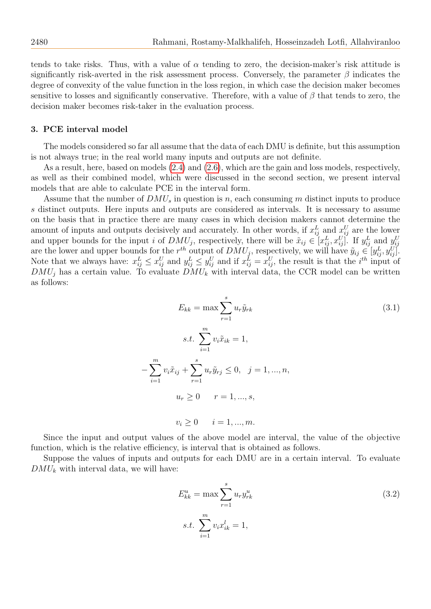tends to take risks. Thus, with a value of  $\alpha$  tending to zero, the decision-maker's risk attitude is significantly risk-averted in the risk assessment process. Conversely, the parameter  $\beta$  indicates the degree of convexity of the value function in the loss region, in which case the decision maker becomes sensitive to losses and significantly conservative. Therefore, with a value of  $\beta$  that tends to zero, the decision maker becomes risk-taker in the evaluation process.

#### 3. PCE interval model

The models considered so far all assume that the data of each DMU is definite, but this assumption is not always true; in the real world many inputs and outputs are not definite.

As a result, here, based on models [\(2.4\)](#page-3-0) and [\(2.6\)](#page-4-0), which are the gain and loss models, respectively, as well as their combined model, which were discussed in the second section, we present interval models that are able to calculate PCE in the interval form.

Assume that the number of  $DMU_s$  in question is n, each consuming m distinct inputs to produce s distinct outputs. Here inputs and outputs are considered as intervals. It is necessary to assume on the basis that in practice there are many cases in which decision makers cannot determine the amount of inputs and outputs decisively and accurately. In other words, if  $x_{ij}^L$  and  $x_{ij}^U$  are the lower and upper bounds for the input i of  $DMU_j$ , respectively, there will be  $\tilde{x}_{ij} \in [x_{ij}^L, x_{ij}^U]$ . If  $y_{ij}^L$  and  $y_{ij}^U$ are the lower and upper bounds for the  $r^{th}$  output of  $DMU_j$ , respectively, we will have  $\tilde{y}_{ij} \in [y_{ij}^L, y_{ij}^U]$ . Note that we always have:  $x_{ij}^L \leq x_{ij}^U$  and  $y_{ij}^L \leq y_{ij}^U$  and if  $x_{ij}^L = x_{ij}^U$ , the result is that the *i*<sup>th</sup> input of  $DMU_j$  has a certain value. To evaluate  $DMU_k$  with interval data, the CCR model can be written as follows:

$$
E_{kk} = \max \sum_{r=1}^{s} u_r \tilde{y}_{rk}
$$
\n
$$
s.t. \sum_{i=1}^{m} v_i \tilde{x}_{ik} = 1,
$$
\n
$$
-\sum_{i=1}^{m} v_i \tilde{x}_{ij} + \sum_{r=1}^{s} u_r \tilde{y}_{rj} \le 0, \quad j = 1, ..., n,
$$
\n
$$
u_r \ge 0 \qquad r = 1, ..., s,
$$
\n
$$
v_i \ge 0 \qquad i = 1, ..., m.
$$
\n(3.1)

Since the input and output values of the above model are interval, the value of the objective function, which is the relative efficiency, is interval that is obtained as follows.

Suppose the values of inputs and outputs for each DMU are in a certain interval. To evaluate  $DMU_k$  with interval data, we will have:

$$
E_{kk}^{u} = \max \sum_{r=1}^{s} u_r y_{rk}^{u}
$$
  
s.t. 
$$
\sum_{i=1}^{m} v_i x_{ik}^{l} = 1,
$$
 (3.2)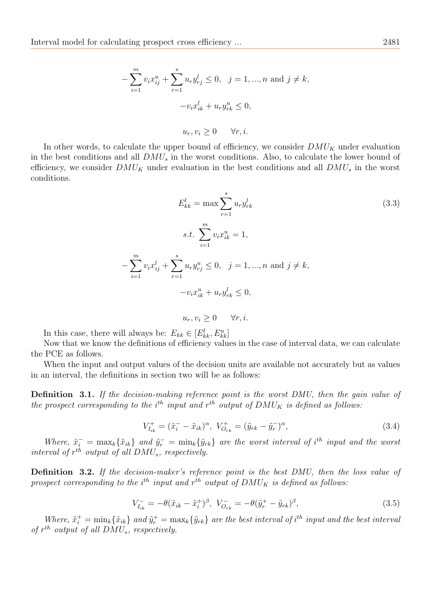$$
-\sum_{i=1}^{m} v_i x_{ij}^u + \sum_{r=1}^{s} u_r y_{rj}^l \le 0, \quad j = 1, ..., n \text{ and } j \ne k,
$$
  

$$
-v_i x_{ik}^l + u_r y_{rk}^u \le 0,
$$
  

$$
u_r, v_i \ge 0 \quad \forall r, i.
$$

In other words, to calculate the upper bound of efficiency, we consider  $DMU<sub>K</sub>$  under evaluation in the best conditions and all  $DMU_s$  in the worst conditions. Also, to calculate the lower bound of efficiency, we consider  $DMU_K$  under evaluation in the best conditions and all  $DMU_s$  in the worst conditions.

$$
E_{kk}^{l} = \max \sum_{r=1}^{s} u_{r} y_{rk}^{l}
$$
\n
$$
s.t. \sum_{i=1}^{m} v_{i} x_{ik}^{u} = 1,
$$
\n
$$
-\sum_{i=1}^{m} v_{i} x_{ij}^{l} + \sum_{r=1}^{s} u_{r} y_{rj}^{u} \leq 0, \quad j = 1, ..., n \text{ and } j \neq k,
$$
\n
$$
-v_{i} x_{ik}^{u} + u_{r} y_{rk}^{l} \leq 0,
$$
\n
$$
(3.3)
$$

In this case, there will always be:  $E_{kk} \in [E_{kk}^l, E_{kk}^u]$ 

Now that we know the definitions of efficiency values in the case of interval data, we can calculate the PCE as follows.

 $u_r, v_i > 0 \quad \forall r, i.$ 

When the input and output values of the decision units are available not accurately but as values in an interval, the definitions in section two will be as follows:

Definition 3.1. If the decision-making reference point is the worst DMU, then the gain value of the prospect corresponding to the i<sup>th</sup> input and  $r^{th}$  output of  $DMU_K$  is defined as follows:

$$
V_{I_{ik}}^{+} = (\tilde{x}_i^{-} - \tilde{x}_{ik})^{\alpha}, \ V_{O_{rk}}^{+} = (\tilde{y}_{rk} - \tilde{y}_r^{-})^{\alpha}, \tag{3.4}
$$

Where,  $\tilde{x}_i^- = \max_k {\tilde{x}_{ik}}$  and  $\tilde{y}_r^- = \min_k {\tilde{y}_{rk}}$  are the worst interval of i<sup>th</sup> input and the worst interval of  $r^{th}$  output of all  $DMU_s$ , respectively.

Definition 3.2. If the decision-maker's reference point is the best DMU, then the loss value of prospect corresponding to the i<sup>th</sup> input and  $r^{th}$  output of  $DMU_K$  is defined as follows:

$$
V_{I_{ik}}^{-} = -\theta(\tilde{x}_{ik} - \tilde{x}_{i}^{+})^{\beta}, \ V_{O_{rk}}^{-} = -\theta(\tilde{y}_{r}^{+} - \tilde{y}_{rk})^{\beta}, \tag{3.5}
$$

Where,  $\tilde{x}_i^+ = \min_k {\tilde{x}_{ik}}$  and  $\tilde{y}_r^+ = \max_k {\tilde{y}_{rk}}$  are the best interval of  $i^{th}$  input and the best interval of  $r^{th}$  output of all  $DMU_s$ , respectively.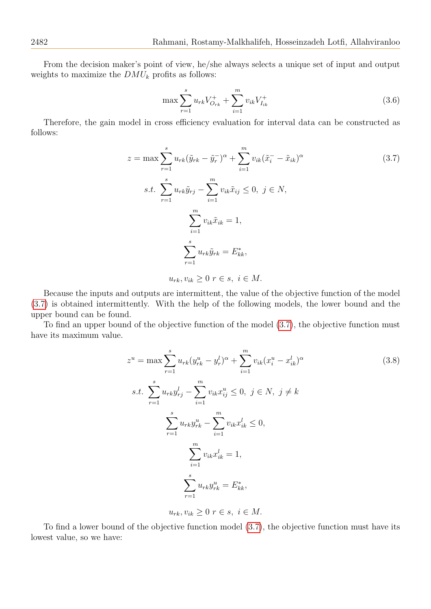From the decision maker's point of view, he/she always selects a unique set of input and output weights to maximize the  $DMU_k$  profits as follows:

$$
\max \sum_{r=1}^{s} u_{rk} V_{O_{rk}}^{+} + \sum_{i=1}^{m} v_{ik} V_{I_{ik}}^{+}
$$
\n(3.6)

Therefore, the gain model in cross efficiency evaluation for interval data can be constructed as follows:

<span id="page-7-0"></span>
$$
z = \max \sum_{r=1}^{s} u_{rk} (\tilde{y}_{rk} - \tilde{y}_{r})^{\alpha} + \sum_{i=1}^{m} v_{ik} (\tilde{x}_{i} - \tilde{x}_{ik})^{\alpha}
$$
  
s.t. 
$$
\sum_{r=1}^{s} u_{rk} \tilde{y}_{rj} - \sum_{i=1}^{m} v_{ik} \tilde{x}_{ij} \leq 0, \ j \in N,
$$

$$
\sum_{i=1}^{m} v_{ik} \tilde{x}_{ik} = 1,
$$

$$
\sum_{r=1}^{s} u_{rk} \tilde{y}_{rk} = E_{kk}^{*},
$$

$$
u_{rk}, v_{ik} \geq 0 \ r \in s, \ i \in M.
$$

$$
(3.7)
$$

Because the inputs and outputs are intermittent, the value of the objective function of the model [\(3.7\)](#page-7-0) is obtained intermittently. With the help of the following models, the lower bound and the upper bound can be found.

To find an upper bound of the objective function of the model [\(3.7\)](#page-7-0), the objective function must have its maximum value.

<span id="page-7-1"></span>
$$
z^{u} = \max \sum_{r=1}^{s} u_{rk} (y_{rk}^{u} - y_{r}^{l})^{\alpha} + \sum_{i=1}^{m} v_{ik} (x_{i}^{u} - x_{ik}^{l})^{\alpha}
$$
  
s.t. 
$$
\sum_{r=1}^{s} u_{rk} y_{rj}^{l} - \sum_{i=1}^{m} v_{ik} x_{ij}^{u} \leq 0, \ j \in N, \ j \neq k
$$

$$
\sum_{r=1}^{s} u_{rk} y_{rk}^{u} - \sum_{i=1}^{m} v_{ik} x_{ik}^{l} \leq 0,
$$

$$
\sum_{i=1}^{m} v_{ik} x_{ik}^{l} = 1,
$$

$$
\sum_{r=1}^{s} u_{rk} y_{rk}^{u} = E_{kk}^{*},
$$

$$
(3.8)
$$

$$
u_{rk}, v_{ik} \ge 0 \ r \in s, \ i \in M.
$$

To find a lower bound of the objective function model [\(3.7\)](#page-7-0), the objective function must have its lowest value, so we have: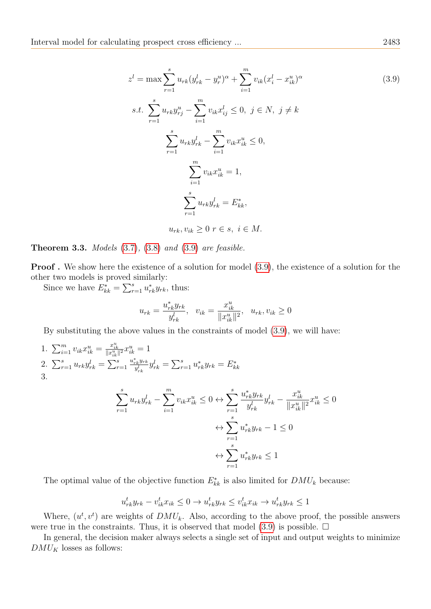<span id="page-8-0"></span>
$$
z^{l} = \max \sum_{r=1}^{s} u_{rk} (y_{rk}^{l} - y_{r}^{u})^{\alpha} + \sum_{i=1}^{m} v_{ik} (x_{i}^{l} - x_{ik}^{u})^{\alpha}
$$
\n
$$
s \qquad m \tag{3.9}
$$

$$
s.t. \sum_{r=1}^{s} u_{rk} y_{rj}^{u} - \sum_{i=1}^{m} v_{ik} x_{ij}^{l} \le 0, \ j \in N, \ j \ne k
$$

$$
\sum_{r=1}^{s} u_{rk} y_{rk}^{l} - \sum_{i=1}^{m} v_{ik} x_{ik}^{u} \le 0,
$$

$$
\sum_{i=1}^{m} v_{ik} x_{ik}^{u} = 1,
$$

$$
\sum_{r=1}^{s} u_{rk} y_{rk}^{l} = E_{kk}^{*},
$$

$$
u_{rk}, v_{ik} \ge 0 \ r \in s, \ i \in M.
$$

**Theorem 3.3.** Models  $(3.7)$ ,  $(3.8)$  and  $(3.9)$  are feasible.

Proof . We show here the existence of a solution for model [\(3.9\)](#page-8-0), the existence of a solution for the other two models is proved similarly:

Since we have  $E_{kk}^* = \sum_{r=1}^s u_{rk}^* y_{rk}$ , thus:

$$
u_{rk} = \frac{u_{rk}^* y_{rk}}{y_{rk}^l}, \quad v_{ik} = \frac{x_{ik}^u}{\|x_{ik}^u\|^2}, \quad u_{rk}, v_{ik} \ge 0
$$

By substituting the above values in the constraints of model [\(3.9\)](#page-8-0), we will have:

1. 
$$
\sum_{i=1}^{m} v_{ik} x_{ik}^{u} = \frac{x_{ik}^{u}}{\|x_{ik}^{u}\|^{2}} x_{ik}^{u} = 1
$$
  
\n2. 
$$
\sum_{r=1}^{s} u_{rk} y_{rk}^{l} = \sum_{r=1}^{s} \frac{u_{rk}^{*} y_{rk}}{y_{rk}^{l}} y_{rk}^{l} = \sum_{r=1}^{s} u_{rk}^{*} y_{rk} = E_{kk}^{*}
$$
  
\n3. 
$$
\sum_{r=1}^{s} u_{rk} y_{rk}^{l} - \sum_{i=1}^{m} v_{ik} x_{ik}^{u} \leq 0 \Leftrightarrow \sum_{r=1}^{s} \frac{u_{rk}^{*} y_{rk}}{y_{rk}^{l}} y_{rk}^{l} - \frac{x_{ik}^{u}}{\|x_{ik}^{u}\|^{2}} x_{ik}^{u} \leq 0
$$
  
\n
$$
\Leftrightarrow \sum_{r=1}^{s} u_{rk}^{*} y_{rk} - 1 \leq 0
$$
  
\n
$$
\Leftrightarrow \sum_{r=1}^{s} u_{rk}^{*} y_{rk} \leq 1
$$

The optimal value of the objective function  $E_{kk}^*$  is also limited for  $DMU_k$  because:

$$
u_{rk}^t y_{rk} - v_{ik}^t x_{ik} \le 0 \to u_{rk}^t y_{rk} \le v_{ik}^t x_{ik} \to u_{rk}^t y_{rk} \le 1
$$

 $\overline{r=1}$ 

Where,  $(u^t, v^t)$  are weights of  $DMU_k$ . Also, according to the above proof, the possible answers were true in the constraints. Thus, it is observed that model [\(3.9\)](#page-8-0) is possible.  $\Box$ 

In general, the decision maker always selects a single set of input and output weights to minimize  $\mathcal{DMU}_K$  losses as follows: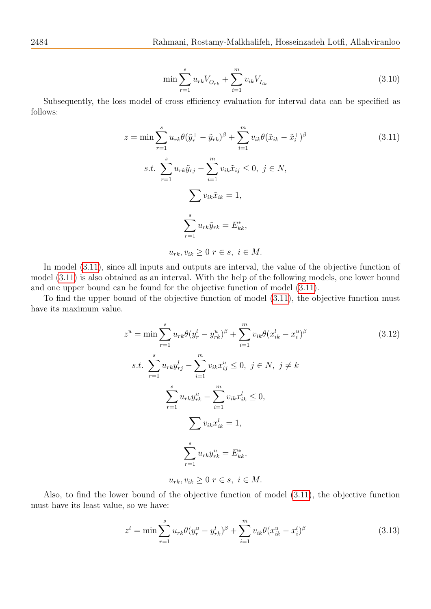$$
\min \sum_{r=1}^{s} u_{rk} V_{O_{rk}}^{-} + \sum_{i=1}^{m} v_{ik} V_{I_{ik}}^{-}
$$
\n(3.10)

Subsequently, the loss model of cross efficiency evaluation for interval data can be specified as follows:

<span id="page-9-0"></span>
$$
z = \min \sum_{r=1}^{s} u_{rk} \theta(\tilde{y}_r^+ - \tilde{y}_{rk})^{\beta} + \sum_{i=1}^{m} v_{ik} \theta(\tilde{x}_{ik} - \tilde{x}_i^+)^{\beta}
$$
\n
$$
s.t. \sum_{r=1}^{s} u_{rk} \tilde{y}_{rj} - \sum_{i=1}^{m} v_{ik} \tilde{x}_{ij} \le 0, \ j \in N,
$$
\n
$$
\sum v_{ik} \tilde{x}_{ik} = 1,
$$
\n
$$
\sum_{r=1}^{s} u_{rk} \tilde{y}_{rk} = E_{kk}^*,
$$
\n
$$
u_{rk}, v_{ik} \ge 0 \ r \in s, \ i \in M.
$$
\n(3.11)

In model  $(3.11)$ , since all inputs and outputs are interval, the value of the objective function of model [\(3.11\)](#page-9-0) is also obtained as an interval. With the help of the following models, one lower bound and one upper bound can be found for the objective function of model [\(3.11\)](#page-9-0).

To find the upper bound of the objective function of model [\(3.11\)](#page-9-0), the objective function must have its maximum value.

<span id="page-9-1"></span>
$$
z^{u} = \min \sum_{r=1}^{s} u_{rk} \theta (y_r^{l} - y_{rk}^{u})^{\beta} + \sum_{i=1}^{m} v_{ik} \theta (x_{ik}^{l} - x_{i}^{u})^{\beta}
$$
\n
$$
s.t. \sum_{r=1}^{s} u_{rk} y_{rj}^{l} - \sum_{i=1}^{m} v_{ik} x_{ij}^{u} \leq 0, \ j \in N, \ j \neq k
$$
\n
$$
\sum_{r=1}^{s} u_{rk} y_{rk}^{u} - \sum_{i=1}^{m} v_{ik} x_{ik}^{l} \leq 0,
$$
\n
$$
\sum v_{ik} x_{ik}^{l} = 1,
$$
\n
$$
\sum_{r=1}^{s} u_{rk} y_{rk}^{u} = E_{kk}^{*},
$$
\n
$$
u_{rk}, v_{ik} \geq 0 \ r \in s, \ i \in M.
$$
\n(3.12)

Also, to find the lower bound of the objective function of model [\(3.11\)](#page-9-0), the objective function must have its least value, so we have:

<span id="page-9-2"></span>
$$
z^{l} = \min \sum_{r=1}^{s} u_{rk} \theta (y_r^u - y_{rk}^l)^{\beta} + \sum_{i=1}^{m} v_{ik} \theta (x_{ik}^u - x_i^l)^{\beta}
$$
(3.13)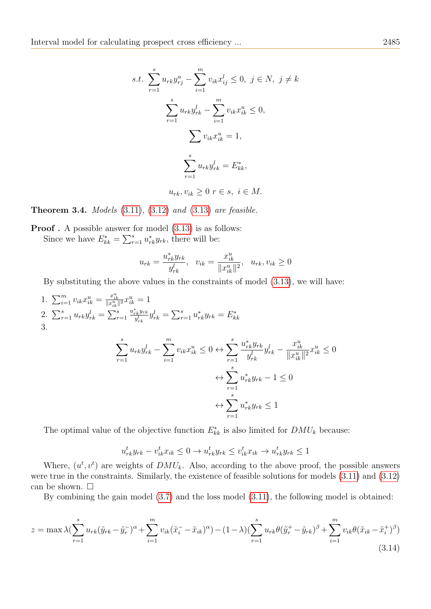$$
s.t. \sum_{r=1}^{s} u_{rk} y_{rj}^{u} - \sum_{i=1}^{m} v_{ik} x_{ij}^{l} \le 0, \ j \in N, \ j \ne k
$$

$$
\sum_{r=1}^{s} u_{rk} y_{rk}^{l} - \sum_{i=1}^{m} v_{ik} x_{ik}^{u} \le 0,
$$

$$
\sum v_{ik} x_{ik}^{u} = 1,
$$

$$
\sum_{r=1}^{s} u_{rk} y_{rk}^{l} = E_{kk}^{*},
$$

$$
u_{rk}, v_{ik} \ge 0 \ r \in s, \ i \in M.
$$

**Theorem 3.4.** Models  $(3.11)$ ,  $(3.12)$  and  $(3.13)$  are feasible.

**Proof**. A possible answer for model  $(3.13)$  is as follows: Since we have  $E_{kk}^* = \sum_{r=1}^s u_{rk}^* y_{rk}$ , there will be:

$$
u_{rk} = \frac{u_{rk}^* y_{rk}}{y_{rk}^l}, \quad v_{ik} = \frac{x_{ik}^u}{\|x_{ik}^u\|^2}, \quad u_{rk}, v_{ik} \ge 0
$$

By substituting the above values in the constraints of model [\(3.13\)](#page-9-2), we will have:

1.  $\sum_{i=1}^{m} v_{ik} x_{ik}^{u} = \frac{x_{ik}^{u}}{\|x_{ik}^{u}\|^{2}} x_{ik}^{u} = 1$ 2.  $\sum_{r=1}^{s} u_{rk} y_{rk}^l = \sum_{r=1}^{s}$  $u_{rk}^*y_{rk}$  $y_{rk}^{k}y_{rk}^{y_{rk}}= \sum_{r=1}^{s}u_{rk}^{*}y_{rk}=E_{kk}^{*}$ 3. Xs  $\overline{m}$  $\boldsymbol{s}$ ∗

$$
\sum_{r=1}^{s} u_{rk} y_{rk}^l - \sum_{i=1}^{m} v_{ik} x_{ik}^u \le 0 \leftrightarrow \sum_{r=1}^{s} \frac{u_{rk}^* y_{rk}}{y_{rk}^l} y_{rk}^l - \frac{x_{ik}^u}{\|x_{ik}^u\|^2} x_{ik}^u \le 0
$$

$$
\leftrightarrow \sum_{r=1}^{s} u_{rk}^* y_{rk} - 1 \le 0
$$

$$
\leftrightarrow \sum_{r=1}^{s} u_{rk}^* y_{rk} \le 1
$$

The optimal value of the objective function  $E_{kk}^*$  is also limited for  $DMU_k$  because:

$$
u_{rk}^t y_{rk} - v_{ik}^t x_{ik} \le 0 \to u_{rk}^t y_{rk} \le v_{ik}^t x_{ik} \to u_{rk}^t y_{rk} \le 1
$$

Where,  $(u^t, v^t)$  are weights of  $DMU_k$ . Also, according to the above proof, the possible answers were true in the constraints. Similarly, the existence of feasible solutions for models [\(3.11\)](#page-9-0) and [\(3.12\)](#page-9-1) can be shown.  $\square$ 

By combining the gain model [\(3.7\)](#page-7-0) and the loss model [\(3.11\)](#page-9-0), the following model is obtained:

<span id="page-10-0"></span>
$$
z = \max \lambda (\sum_{r=1}^{s} u_{rk} (\tilde{y}_{rk} - \tilde{y}_r^{-})^{\alpha} + \sum_{i=1}^{m} v_{ik} (\tilde{x}_i - \tilde{x}_{ik})^{\alpha}) - (1 - \lambda) (\sum_{r=1}^{s} u_{rk} \theta (\tilde{y}_r^{+} - \tilde{y}_{rk})^{\beta} + \sum_{i=1}^{m} v_{ik} \theta (\tilde{x}_{ik} - \tilde{x}_i^{+})^{\beta})
$$
\n(3.14)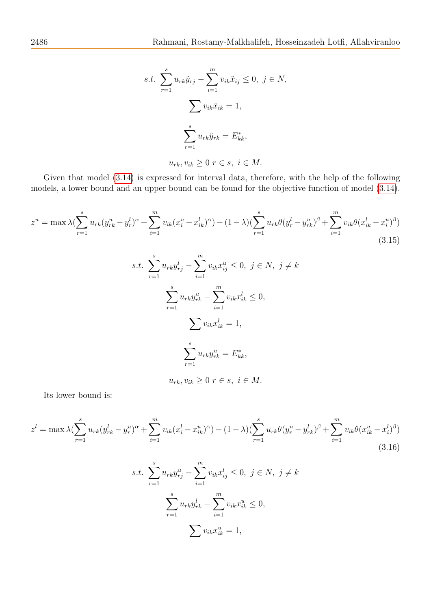$$
s.t. \sum_{r=1}^{s} u_{rk} \tilde{y}_{rj} - \sum_{i=1}^{m} v_{ik} \tilde{x}_{ij} \leq 0, \ j \in N,
$$

$$
\sum v_{ik} \tilde{x}_{ik} = 1,
$$

$$
\sum_{r=1}^{s} u_{rk} \tilde{y}_{rk} = E_{kk}^*,
$$

$$
u_{rk}, v_{ik} \geq 0 \ r \in s, \ i \in M.
$$

Given that model [\(3.14\)](#page-10-0) is expressed for interval data, therefore, with the help of the following models, a lower bound and an upper bound can be found for the objective function of model [\(3.14\)](#page-10-0).

<span id="page-11-0"></span>
$$
z^{u} = \max \lambda (\sum_{r=1}^{s} u_{rk} (y_{rk}^{u} - y_{r}^{l})^{\alpha} + \sum_{i=1}^{m} v_{ik} (x_{i}^{u} - x_{ik}^{l})^{\alpha}) - (1 - \lambda) (\sum_{r=1}^{s} u_{rk} \theta (y_{r}^{l} - y_{rk}^{u})^{\beta} + \sum_{i=1}^{m} v_{ik} \theta (x_{ik}^{l} - x_{i}^{u})^{\beta})
$$
\n(3.15)

s.t. 
$$
\sum_{r=1}^{s} u_{rk} y_{rj}^{l} - \sum_{i=1}^{m} v_{ik} x_{ij}^{u} \le 0, \ j \in N, \ j \ne k
$$

$$
\sum_{r=1}^{s} u_{rk} y_{rk}^{u} - \sum_{i=1}^{m} v_{ik} x_{ik}^{l} \le 0,
$$

$$
\sum_{r=1}^{s} v_{ik} x_{ik}^{l} = 1,
$$

$$
\sum_{r=1}^{s} u_{rk} y_{rk}^{u} = E_{kk}^{*},
$$

 $u_{rk}, v_{ik} \geq 0$   $r \in s, i \in M$ .

Its lower bound is:

<span id="page-11-1"></span>
$$
z^{l} = \max \lambda (\sum_{r=1}^{s} u_{rk} (y_{rk}^{l} - y_{r}^{u})^{\alpha} + \sum_{i=1}^{m} v_{ik} (x_{i}^{l} - x_{ik}^{u})^{\alpha}) - (1 - \lambda) (\sum_{r=1}^{s} u_{rk} \theta (y_{r}^{u} - y_{rk}^{l})^{\beta} + \sum_{i=1}^{m} v_{ik} \theta (x_{ik}^{u} - x_{i}^{l})^{\beta})
$$
\n
$$
s.t. \sum_{r=1}^{s} u_{rk} y_{rj}^{u} - \sum_{i=1}^{m} v_{ik} x_{ij}^{l} \le 0, \ j \in N, \ j \neq k
$$
\n
$$
\sum_{r=1}^{s} u_{rk} y_{rk}^{l} - \sum_{i=1}^{m} v_{ik} x_{ik}^{u} \le 0,
$$
\n
$$
\sum v_{ik} x_{ik}^{u} = 1,
$$
\n(3.16)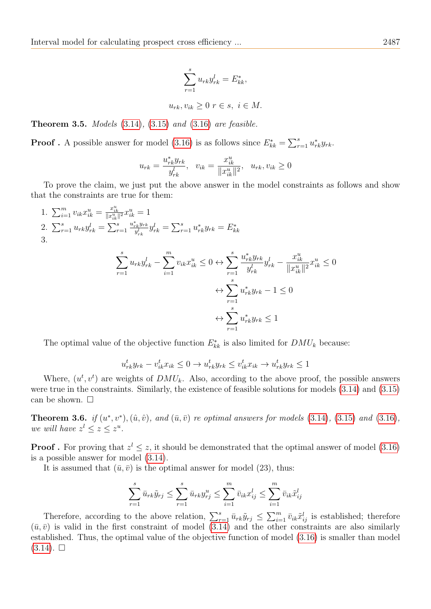$$
\sum_{r=1}^{s} u_{rk} y_{rk}^l = E_{kk}^*,
$$
  

$$
u_{rk}, v_{ik} \ge 0 \ r \in s, \ i \in M.
$$

Theorem 3.5. Models [\(3.14\)](#page-10-0), [\(3.15\)](#page-11-0) and [\(3.16\)](#page-11-1) are feasible.

**Proof**. A possible answer for model [\(3.16\)](#page-11-1) is as follows since  $E_{kk}^* = \sum_{r=1}^s u_{rk}^* y_{rk}$ .

$$
u_{rk} = \frac{u_{rk}^* y_{rk}}{y_{rk}^l}, \quad v_{ik} = \frac{x_{ik}^u}{\|x_{ik}^u\|^2}, \quad u_{rk}, v_{ik} \ge 0
$$

To prove the claim, we just put the above answer in the model constraints as follows and show that the constraints are true for them:

1.  $\sum_{i=1}^{m} v_{ik} x_{ik}^{u} = \frac{x_{ik}^{u}}{\|x_{ik}^{u}\|^{2}} x_{ik}^{u} = 1$ 2.  $\sum_{r=1}^{s} u_{rk} y_{rk}^l = \sum_{r=1}^{s}$  $u_{rk}^*y_{rk}$  $y_{rk}^{k}y_{rk}^{y_{rk}}= \sum_{r=1}^{s}u_{rk}^{*}y_{rk}=E_{kk}^{*}$ 3. ∗ u

$$
\sum_{r=1}^{s} u_{rk} y_{rk}^l - \sum_{i=1}^{m} v_{ik} x_{ik}^u \le 0 \leftrightarrow \sum_{r=1}^{s} \frac{u_{rk}^* y_{rk}}{y_{rk}^l} y_{rk}^l - \frac{x_{ik}^u}{\|x_{ik}^u\|^2} x_{ik}^u \le 0
$$

$$
\leftrightarrow \sum_{r=1}^{s} u_{rk}^* y_{rk} - 1 \le 0
$$

$$
\leftrightarrow \sum_{r=1}^{s} u_{rk}^* y_{rk} \le 1
$$

The optimal value of the objective function  $E_{kk}^*$  is also limited for  $DMU_k$  because:

$$
u_{rk}^t y_{rk} - v_{ik}^t x_{ik} \le 0 \to u_{rk}^t y_{rk} \le v_{ik}^t x_{ik} \to u_{rk}^t y_{rk} \le 1
$$

Where,  $(u^t, v^t)$  are weights of  $DMU_k$ . Also, according to the above proof, the possible answers were true in the constraints. Similarly, the existence of feasible solutions for models [\(3.14\)](#page-10-0) and [\(3.15\)](#page-11-0) can be shown.  $\square$ 

**Theorem 3.6.** if  $(u^*, v^*), (\hat{u}, \hat{v})$ , and  $(\bar{u}, \bar{v})$  re optimal answers for models [\(3.14\)](#page-10-0), [\(3.15\)](#page-11-0) and [\(3.16\)](#page-11-1), we will have  $z^l \leq z \leq z^u$ .

**Proof**. For proving that  $z^l \leq z$ , it should be demonstrated that the optimal answer of model [\(3.16\)](#page-11-1) is a possible answer for model [\(3.14\)](#page-10-0).

It is assumed that  $(\bar{u}, \bar{v})$  is the optimal answer for model (23), thus:

$$
\sum_{r=1}^{s} \bar{u}_{rk} \tilde{y}_{rj} \le \sum_{r=1}^{s} \bar{u}_{rk} y_{rj}^{u} \le \sum_{i=1}^{m} \bar{v}_{ik} x_{ij}^{l} \le \sum_{i=1}^{m} \bar{v}_{ik} \tilde{x}_{ij}^{l}
$$

Therefore, according to the above relation,  $\sum_{r=1}^{s} \bar{u}_{rk} \tilde{y}_{rj} \leq \sum_{i=1}^{m} \bar{v}_{ik} \tilde{x}_{ij}^l$  is established; therefore  $(\bar{u}, \bar{v})$  is valid in the first constraint of model [\(3.14\)](#page-10-0) and the other constraints are also similarly established. Thus, the optimal value of the objective function of model [\(3.16\)](#page-11-1) is smaller than model  $(3.14)$ .  $\square$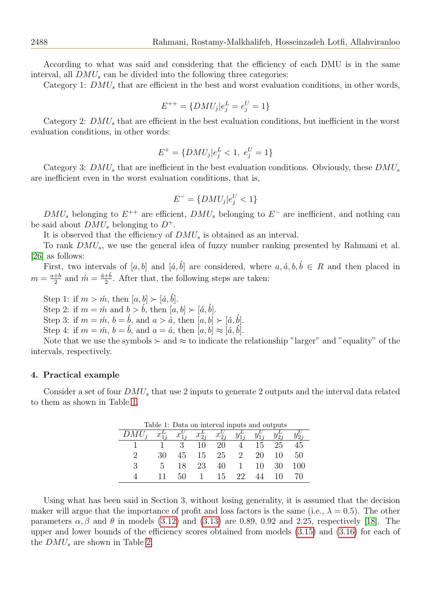According to what was said and considering that the efficiency of each DMU is in the same interval, all  $DMU_s$  can be divided into the following three categories:

Category 1:  $DMU_s$  that are efficient in the best and worst evaluation conditions, in other words,

$$
E^{++} = \{DMU_j | e_j^L = e_j^U = 1\}
$$

Category 2:  $DMU<sub>s</sub>$  that are efficient in the best evaluation conditions, but inefficient in the worst evaluation conditions, in other words:

$$
E^{+} = \{DMU_{j}|e_{j}^{L} < 1, \ e_{j}^{U} = 1\}
$$

Category 3:  $DMU_s$  that are inefficient in the best evaluation conditions. Obviously, these  $DMU_s$ are inefficient even in the worst evaluation conditions, that is,

$$
E^- = \{DMU_j | e_j^U < 1\}
$$

 $DMU_s$  belonging to  $E^{++}$  are efficient,  $DMU_s$  belonging to  $E^-$  are inefficient, and nothing can be said about  $DMU_s$  belonging to  $D^+$ .

It is observed that the efficiency of  $DMU_s$  is obtained as an interval.

To rank  $DMU<sub>s</sub>$ , we use the general idea of fuzzy number ranking presented by Rahmani et al. [\[26\]](#page-15-25) as follows:

First, two intervals of [a, b] and [a, b] are considered, where  $a, \acute{a}, b, \acute{b} \in R$  and then placed in  $m=\frac{a+b}{2}$  $\frac{+b}{2}$  and  $\acute{m}=\frac{\acute{a}+\acute{b}}{2}$  $\frac{+b}{2}$ . After that, the following steps are taken:

Step 1: if  $m > m$ , then  $[a, b] \succ [a, b]$ .

Step 2: if  $m = \hat{m}$  and  $b > \hat{b}$ , then  $[a, b] \succ [\hat{a}, \hat{b}]$ .

Step 3: if  $m = \hat{m}$ ,  $b = \hat{b}$ , and  $a > \hat{a}$ , then  $[a, b] \succ [\hat{a}, \hat{b}]$ .

Step 4: if  $m = \hat{m}$ ,  $b = \hat{b}$ , and  $a = \hat{a}$ , then  $[a, b] \approx [\hat{a}, \hat{b}]$ .

Note that we use the symbols  $\succ$  and  $\approx$  to indicate the relationship "larger" and "equality" of the intervals, respectively.

### 4. Practical example

Consider a set of four  $DMU_s$  that use 2 inputs to generate 2 outputs and the interval data related to them as shown in Table [1.](#page-13-0)

<span id="page-13-0"></span>

| Table 1: Data on interval inputs and outputs |    |            |          |                         |                |    |        |     |  |
|----------------------------------------------|----|------------|----------|-------------------------|----------------|----|--------|-----|--|
|                                              |    | $x_{1i}^U$ | $x_{2i}$ | $x_{2i}^{\prime\prime}$ |                |    |        |     |  |
|                                              |    | 3          | 10       | 20                      |                | 15 | 25     | 45  |  |
| 2                                            | 30 | 45         | 15.      | 25                      | 2              | 20 | 10     | 50  |  |
| 3                                            | b. | 18         | 23       | 40                      | $\overline{1}$ | 10 | 30     | 100 |  |
|                                              |    |            |          | 15                      | -99.           |    | $\Box$ |     |  |

Using what has been said in Section 3, without losing generality, it is assumed that the decision maker will argue that the importance of profit and loss factors is the same (i.e.,  $\lambda = 0.5$ ). The other parameters  $\alpha$ ,  $\beta$  and  $\theta$  in models [\(3.12\)](#page-9-1) and [\(3.13\)](#page-9-2) are 0.89, 0.92 and 2.25, respectively [\[18\]](#page-15-18). The upper and lower bounds of the efficiency scores obtained from models [\(3.15\)](#page-11-0) and [\(3.16\)](#page-11-1) for each of the  $DMU_s$  are shown in Table [2.](#page-14-1)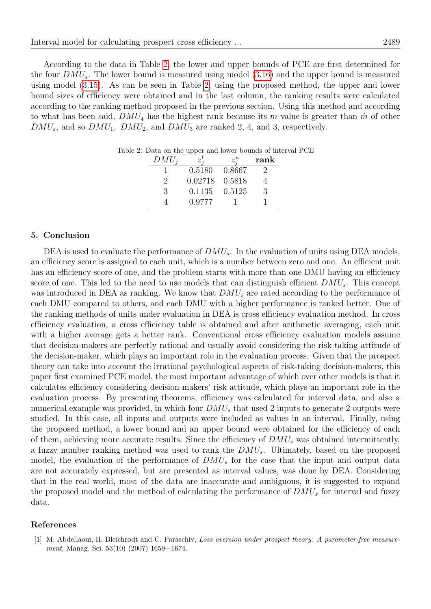According to the data in Table [2,](#page-14-1) the lower and upper bounds of PCE are first determined for the four  $DMU<sub>s</sub>$ . The lower bound is measured using model [\(3.16\)](#page-11-1) and the upper bound is measured using model [\(3.15\)](#page-11-0). As can be seen in Table [2,](#page-14-1) using the proposed method, the upper and lower bound sizes of efficiency were obtained and in the last column, the ranking results were calculated according to the ranking method proposed in the previous section. Using this method and according to what has been said,  $DMU_4$  has the highest rank because its m value is greater than  $\hat{m}$  of other  $DMU<sub>s</sub>$ , and so  $DMU<sub>1</sub>$ ,  $DMU<sub>2</sub>$ , and  $DMU<sub>3</sub>$  are ranked 2, 4, and 3, respectively.

<span id="page-14-1"></span>

| $DMU_i$ | . .     |        | rank |
|---------|---------|--------|------|
|         | 0.5180  | 0.8667 |      |
|         | 0.02718 | 0.5818 |      |
| 3       | 0.1135  | 0.5125 | 3    |
|         | 0.9777  |        |      |

Table 2: Data on the upper and lower bounds of interval PCE

#### 5. Conclusion

DEA is used to evaluate the performance of  $DMU_s$ . In the evaluation of units using DEA models, an efficiency score is assigned to each unit, which is a number between zero and one. An efficient unit has an efficiency score of one, and the problem starts with more than one DMU having an efficiency score of one. This led to the need to use models that can distinguish efficient  $DMU<sub>s</sub>$ . This concept was introduced in DEA as ranking. We know that  $DMU_s$  are rated according to the performance of each DMU compared to others, and each DMU with a higher performance is ranked better. One of the ranking methods of units under evaluation in DEA is cross efficiency evaluation method. In cross efficiency evaluation, a cross efficiency table is obtained and after arithmetic averaging, each unit with a higher average gets a better rank. Conventional cross efficiency evaluation models assume that decision-makers are perfectly rational and usually avoid considering the risk-taking attitude of the decision-maker, which plays an important role in the evaluation process. Given that the prospect theory can take into account the irrational psychological aspects of risk-taking decision-makers, this paper first examined PCE model, the most important advantage of which over other models is that it calculates efficiency considering decision-makers' risk attitude, which plays an important role in the evaluation process. By presenting theorems, efficiency was calculated for interval data, and also a numerical example was provided, in which four  $DMU_s$  that used 2 inputs to generate 2 outputs were studied. In this case, all inputs and outputs were included as values in an interval. Finally, using the proposed method, a lower bound and an upper bound were obtained for the efficiency of each of them, achieving more accurate results. Since the efficiency of  $DMU_s$  was obtained intermittently, a fuzzy number ranking method was used to rank the  $DMU_s$ . Ultimately, based on the proposed model, the evaluation of the performance of  $DMU_s$  for the case that the input and output data are not accurately expressed, but are presented as interval values, was done by DEA. Considering that in the real world, most of the data are inaccurate and ambiguous, it is suggested to expand the proposed model and the method of calculating the performance of  $DMU_s$  for interval and fuzzy data.

#### References

<span id="page-14-0"></span>[1] M. Abdellaoui, H. Bleichrodt and C. Paraschiv, Loss aversion under prospect theory: A parameter-free measurement, Manag. Sci. 53(10) (2007) 1659--1674.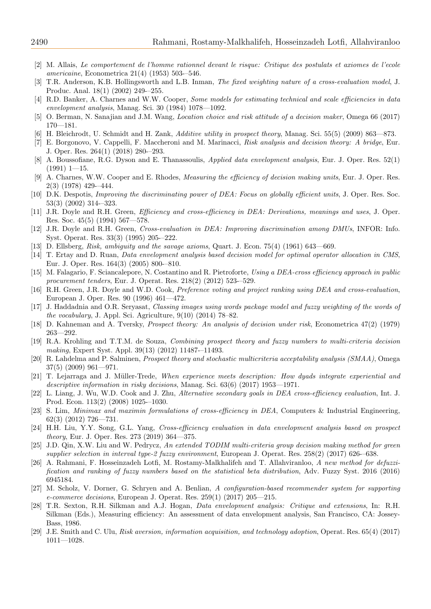- <span id="page-15-16"></span>[2] M. Allais, Le comportement de l'homme rationnel devant le risque: Critique des postulats et axiomes de l'ecole americaine, Econometrica 21(4) (1953) 503-–546.
- <span id="page-15-5"></span>[3] T.R. Anderson, K.B. Hollingsworth and L.B. Inman, The fixed weighting nature of a cross-evaluation model, J. Produc. Anal. 18(1) (2002) 249-–255.
- <span id="page-15-1"></span>[4] R.D. Banker, A. Charnes and W.W. Cooper, *Some models for estimating technical and scale efficiencies in data* envelopment analysis, Manag. Sci. 30 (1984) 1078—1092.
- <span id="page-15-12"></span>[5] O. Berman, N. Sanajian and J.M. Wang, Location choice and risk attitude of a decision maker, Omega 66 (2017)  $170 - 181.$
- <span id="page-15-19"></span>[6] H. Bleichrodt, U. Schmidt and H. Zank, Additive utility in prospect theory, Manag. Sci. 55(5) (2009) 863—873.
- <span id="page-15-13"></span>[7] E. Borgonovo, V. Cappelli, F. Maccheroni and M. Marinacci, Risk analysis and decision theory: A bridge, Eur. J. Oper. Res. 264(1) (2018) 280-–293.
- <span id="page-15-6"></span>[8] A. Boussofiane, R.G. Dyson and E. Thanassoulis, Applied data envelopment analysis, Eur. J. Oper. Res. 52(1)  $(1991)$  1-15.
- <span id="page-15-0"></span>[9] A. Charnes, W.W. Cooper and E. Rhodes, *Measuring the efficiency of decision making units*, Eur. J. Oper. Res. 2(3) (1978) 429-–444.
- <span id="page-15-3"></span>[10] D.K. Despotis, Improving the discriminating power of DEA: Focus on globally efficient units, J. Oper. Res. Soc. 53(3) (2002) 314-–323.
- <span id="page-15-10"></span>[11] J.R. Doyle and R.H. Green, Efficiency and cross-efficiency in DEA: Derivations, meanings and uses, J. Oper. Res. Soc. 45(5) (1994) 567—578.
- <span id="page-15-4"></span>[12] J.R. Doyle and R.H. Green, Cross-evaluation in DEA: Improving discrimination among DMUs, INFOR: Info. Syst. Operat. Res. 33(3) (1995) 205-–222.
- <span id="page-15-17"></span>[13] D. Ellsberg, Risk, ambiguity and the savage axioms, Quart. J. Econ. 75(4) (1961) 643—669.
- <span id="page-15-7"></span>[14] T. Ertay and D. Ruan, Data envelopment analysis based decision model for optimal operator allocation in CMS, Eur. J. Oper. Res. 164(3) (2005) 800-–810.
- <span id="page-15-8"></span>[15] M. Falagario, F. Sciancalepore, N. Costantino and R. Pietroforte, Using a DEA-cross efficiency approach in public procurement tenders, Eur. J. Operat. Res. 218(2) (2012) 523-–529.
- <span id="page-15-9"></span>[16] R.H. Green, J.R. Doyle and W.D. Cook, Preference voting and project ranking using DEA and cross-evaluation, European J. Oper. Res. 90 (1996) 461—472.
- <span id="page-15-20"></span>[17] J. Haddadnia and O.R. Seryasat, Classing images using words package model and fuzzy weighting of the words of the vocabulary, J. Appl. Sci. Agriculture, 9(10) (2014) 78–82.
- <span id="page-15-18"></span>[18] D. Kahneman and A. Tversky, Prospect theory: An analysis of decision under risk, Econometrica 47(2) (1979) 263—292.
- <span id="page-15-21"></span>[19] R.A. Krohling and T.T.M. de Souza, Combining prospect theory and fuzzy numbers to multi-criteria decision making, Expert Syst. Appl. 39(13) (2012) 11487-–11493.
- <span id="page-15-22"></span>[20] R. Lahdelma and P. Salminen, Prospect theory and stochastic multicriteria acceptability analysis (SMAA), Omega 37(5) (2009) 961—971.
- <span id="page-15-14"></span>[21] T. Lejarraga and J. Müller-Trede, When experience meets description: How dyads integrate experiential and descriptive information in risky decisions, Manag. Sci. 63(6) (2017) 1953—1971.
- <span id="page-15-11"></span>[22] L. Liang, J. Wu, W.D. Cook and J. Zhu, Alternative secondary goals in DEA cross-efficiency evaluation, Int. J. Prod. Econ. 113(2) (2008) 1025-–1030.
- [23] S. Lim, Minimax and maximin formulations of cross-efficiency in DEA, Computers & Industrial Engineering, 62(3) (2012) 726—731.
- <span id="page-15-26"></span>[24] H.H. Liu, Y.Y. Song, G.L. Yang, Cross-efficiency evaluation in data envelopment analysis based on prospect theory, Eur. J. Oper. Res. 273 (2019) 364—375.
- <span id="page-15-23"></span>[25] J.D. Qin, X.W. Liu and W. Pedrycz, An extended TODIM multi-criteria group decision making method for green supplier selection in interval type-2 fuzzy environment, European J. Operat. Res. 258(2) (2017) 626-–638.
- <span id="page-15-25"></span>[26] A. Rahmani, F. Hosseinzadeh Lotfi, M. Rostamy-Malkhalifeh and T. Allahviranloo, A new method for defuzzification and ranking of fuzzy numbers based on the statistical beta distribution, Adv. Fuzzy Syst. 2016 (2016) 6945184.
- <span id="page-15-24"></span>[27] M. Scholz, V. Dorner, G. Schryen and A. Benlian, A configuration-based recommender system for supporting e-commerce decisions, European J. Operat. Res. 259(1) (2017) 205—215.
- <span id="page-15-2"></span>[28] T.R. Sexton, R.H. Silkman and A.J. Hogan, Data envelopment analysis: Critique and extensions, In: R.H. Silkman (Eds.), Measuring efficiency: An assessment of data envelopment analysis, San Francisco, CA: Jossey-Bass, 1986.
- <span id="page-15-15"></span>[29] J.E. Smith and C. Ulu, Risk aversion, information acquisition, and technology adoption, Operat. Res. 65(4) (2017) 1011—1028.